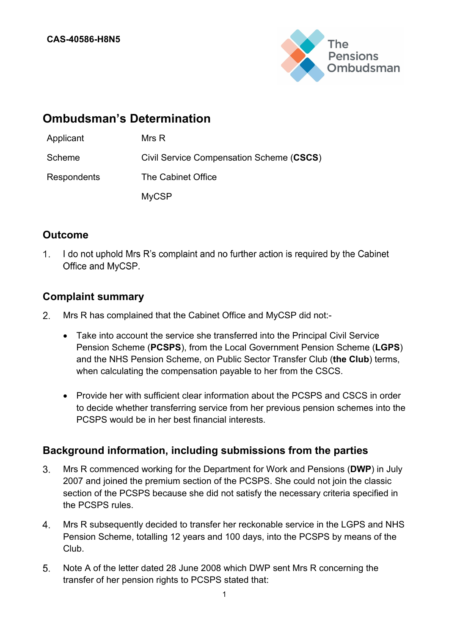

# **Ombudsman's Determination**

| Applicant   | Mrs R                                    |
|-------------|------------------------------------------|
| Scheme      | Civil Service Compensation Scheme (CSCS) |
| Respondents | The Cabinet Office                       |
|             | <b>MyCSP</b>                             |

# **Outcome**

1. I do not uphold Mrs R's complaint and no further action is required by the Cabinet Office and MyCSP.

# **Complaint summary**

- Mrs R has complained that the Cabinet Office and MyCSP did not:-  $2<sup>1</sup>$ 
	- Take into account the service she transferred into the Principal Civil Service Pension Scheme (**PCSPS**), from the Local Government Pension Scheme (**LGPS**) and the NHS Pension Scheme, on Public Sector Transfer Club (**the Club**) terms, when calculating the compensation payable to her from the CSCS.
	- Provide her with sufficient clear information about the PCSPS and CSCS in order to decide whether transferring service from her previous pension schemes into the PCSPS would be in her best financial interests.

# **Background information, including submissions from the parties**

- $3<sub>1</sub>$ Mrs R commenced working for the Department for Work and Pensions (**DWP**) in July 2007 and joined the premium section of the PCSPS. She could not join the classic section of the PCSPS because she did not satisfy the necessary criteria specified in the PCSPS rules.
- $4<sub>1</sub>$ Mrs R subsequently decided to transfer her reckonable service in the LGPS and NHS Pension Scheme, totalling 12 years and 100 days, into the PCSPS by means of the Club.
- $5<sub>1</sub>$ Note A of the letter dated 28 June 2008 which DWP sent Mrs R concerning the transfer of her pension rights to PCSPS stated that: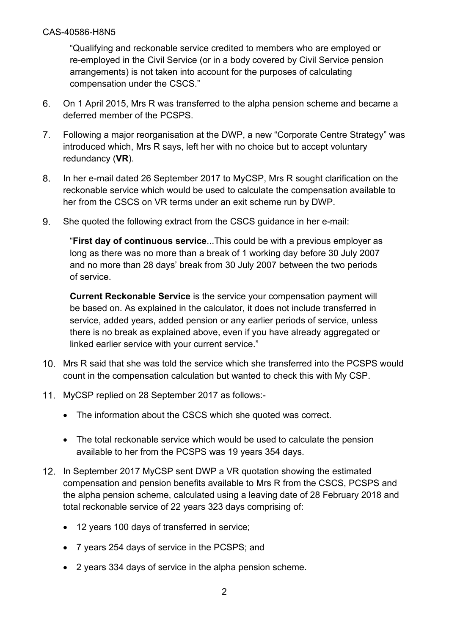"Qualifying and reckonable service credited to members who are employed or re-employed in the Civil Service (or in a body covered by Civil Service pension arrangements) is not taken into account for the purposes of calculating compensation under the CSCS."

- 6. On 1 April 2015, Mrs R was transferred to the alpha pension scheme and became a deferred member of the PCSPS.
- $7<sub>1</sub>$ Following a major reorganisation at the DWP, a new "Corporate Centre Strategy" was introduced which, Mrs R says, left her with no choice but to accept voluntary redundancy (**VR**).
- 8. In her e-mail dated 26 September 2017 to MyCSP, Mrs R sought clarification on the reckonable service which would be used to calculate the compensation available to her from the CSCS on VR terms under an exit scheme run by DWP.
- She quoted the following extract from the CSCS guidance in her e-mail: 9.

"**First day of continuous service**...This could be with a previous employer as long as there was no more than a break of 1 working day before 30 July 2007 and no more than 28 days' break from 30 July 2007 between the two periods of service.

**Current Reckonable Service** is the service your compensation payment will be based on. As explained in the calculator, it does not include transferred in service, added years, added pension or any earlier periods of service, unless there is no break as explained above, even if you have already aggregated or linked earlier service with your current service."

- 10. Mrs R said that she was told the service which she transferred into the PCSPS would count in the compensation calculation but wanted to check this with My CSP.
- 11. MyCSP replied on 28 September 2017 as follows:-
	- The information about the CSCS which she quoted was correct.
	- The total reckonable service which would be used to calculate the pension available to her from the PCSPS was 19 years 354 days.
- 12. In September 2017 MyCSP sent DWP a VR quotation showing the estimated compensation and pension benefits available to Mrs R from the CSCS, PCSPS and the alpha pension scheme, calculated using a leaving date of 28 February 2018 and total reckonable service of 22 years 323 days comprising of:
	- 12 years 100 days of transferred in service;
	- 7 years 254 days of service in the PCSPS; and
	- 2 years 334 days of service in the alpha pension scheme.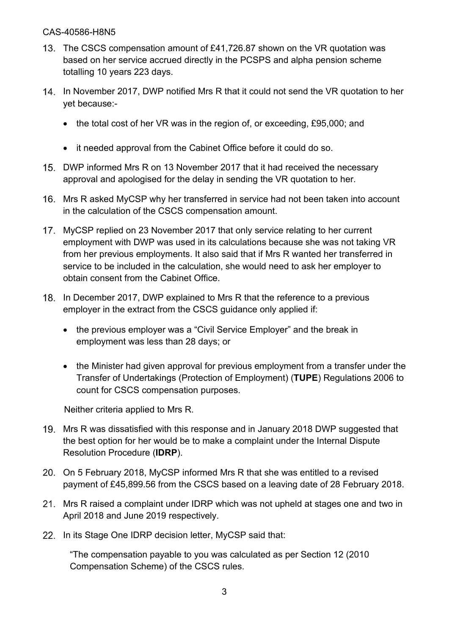- 13. The CSCS compensation amount of £41,726.87 shown on the VR quotation was based on her service accrued directly in the PCSPS and alpha pension scheme totalling 10 years 223 days.
- 14. In November 2017, DWP notified Mrs R that it could not send the VR quotation to her yet because:-
	- the total cost of her VR was in the region of, or exceeding, £95,000; and
	- it needed approval from the Cabinet Office before it could do so.
- 15. DWP informed Mrs R on 13 November 2017 that it had received the necessary approval and apologised for the delay in sending the VR quotation to her.
- 16. Mrs R asked MyCSP why her transferred in service had not been taken into account in the calculation of the CSCS compensation amount.
- MyCSP replied on 23 November 2017 that only service relating to her current employment with DWP was used in its calculations because she was not taking VR from her previous employments. It also said that if Mrs R wanted her transferred in service to be included in the calculation, she would need to ask her employer to obtain consent from the Cabinet Office.
- 18. In December 2017, DWP explained to Mrs R that the reference to a previous employer in the extract from the CSCS guidance only applied if:
	- the previous employer was a "Civil Service Employer" and the break in employment was less than 28 days; or
	- the Minister had given approval for previous employment from a transfer under the Transfer of Undertakings (Protection of Employment) (**TUPE**) Regulations 2006 to count for CSCS compensation purposes.

Neither criteria applied to Mrs R.

- 19. Mrs R was dissatisfied with this response and in January 2018 DWP suggested that the best option for her would be to make a complaint under the Internal Dispute Resolution Procedure (**IDRP**).
- 20. On 5 February 2018, MyCSP informed Mrs R that she was entitled to a revised payment of £45,899.56 from the CSCS based on a leaving date of 28 February 2018.
- Mrs R raised a complaint under IDRP which was not upheld at stages one and two in April 2018 and June 2019 respectively.
- 22. In its Stage One IDRP decision letter, MyCSP said that:

"The compensation payable to you was calculated as per Section 12 (2010 Compensation Scheme) of the CSCS rules.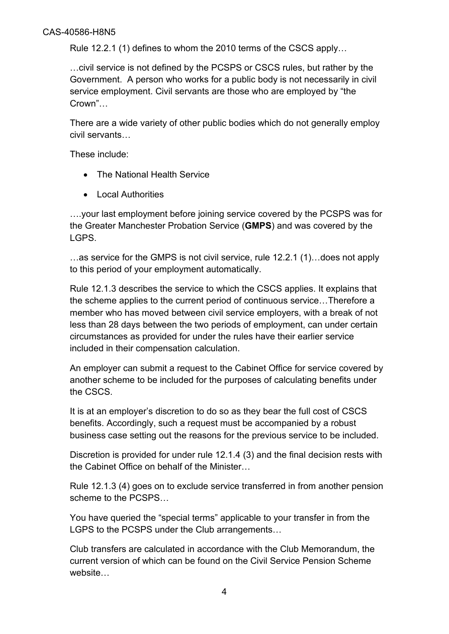Rule 12.2.1 (1) defines to whom the 2010 terms of the CSCS apply…

…civil service is not defined by the PCSPS or CSCS rules, but rather by the Government. A person who works for a public body is not necessarily in civil service employment. Civil servants are those who are employed by "the Crown"…

There are a wide variety of other public bodies which do not generally employ civil servants…

These include:

- The National Health Service
- Local Authorities

….your last employment before joining service covered by the PCSPS was for the Greater Manchester Probation Service (**GMPS**) and was covered by the LGPS.

…as service for the GMPS is not civil service, rule 12.2.1 (1)…does not apply to this period of your employment automatically.

Rule 12.1.3 describes the service to which the CSCS applies. It explains that the scheme applies to the current period of continuous service…Therefore a member who has moved between civil service employers, with a break of not less than 28 days between the two periods of employment, can under certain circumstances as provided for under the rules have their earlier service included in their compensation calculation.

An employer can submit a request to the Cabinet Office for service covered by another scheme to be included for the purposes of calculating benefits under the CSCS.

It is at an employer's discretion to do so as they bear the full cost of CSCS benefits. Accordingly, such a request must be accompanied by a robust business case setting out the reasons for the previous service to be included.

Discretion is provided for under rule 12.1.4 (3) and the final decision rests with the Cabinet Office on behalf of the Minister…

Rule 12.1.3 (4) goes on to exclude service transferred in from another pension scheme to the PCSPS…

You have queried the "special terms" applicable to your transfer in from the LGPS to the PCSPS under the Club arrangements…

Club transfers are calculated in accordance with the Club Memorandum, the current version of which can be found on the Civil Service Pension Scheme website…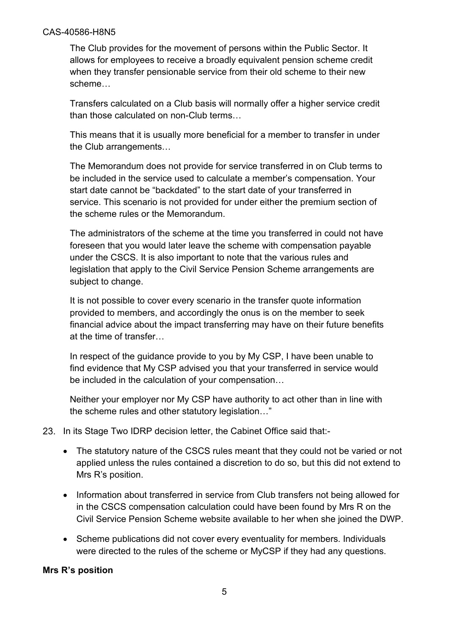The Club provides for the movement of persons within the Public Sector. It allows for employees to receive a broadly equivalent pension scheme credit when they transfer pensionable service from their old scheme to their new scheme…

Transfers calculated on a Club basis will normally offer a higher service credit than those calculated on non-Club terms…

This means that it is usually more beneficial for a member to transfer in under the Club arrangements…

The Memorandum does not provide for service transferred in on Club terms to be included in the service used to calculate a member's compensation. Your start date cannot be "backdated" to the start date of your transferred in service. This scenario is not provided for under either the premium section of the scheme rules or the Memorandum.

The administrators of the scheme at the time you transferred in could not have foreseen that you would later leave the scheme with compensation payable under the CSCS. It is also important to note that the various rules and legislation that apply to the Civil Service Pension Scheme arrangements are subject to change.

It is not possible to cover every scenario in the transfer quote information provided to members, and accordingly the onus is on the member to seek financial advice about the impact transferring may have on their future benefits at the time of transfer…

In respect of the guidance provide to you by My CSP, I have been unable to find evidence that My CSP advised you that your transferred in service would be included in the calculation of your compensation…

Neither your employer nor My CSP have authority to act other than in line with the scheme rules and other statutory legislation…"

#### 23. In its Stage Two IDRP decision letter, the Cabinet Office said that:-

- The statutory nature of the CSCS rules meant that they could not be varied or not applied unless the rules contained a discretion to do so, but this did not extend to Mrs R's position.
- Information about transferred in service from Club transfers not being allowed for in the CSCS compensation calculation could have been found by Mrs R on the Civil Service Pension Scheme website available to her when she joined the DWP.
- Scheme publications did not cover every eventuality for members. Individuals were directed to the rules of the scheme or MyCSP if they had any questions.

#### **Mrs R's position**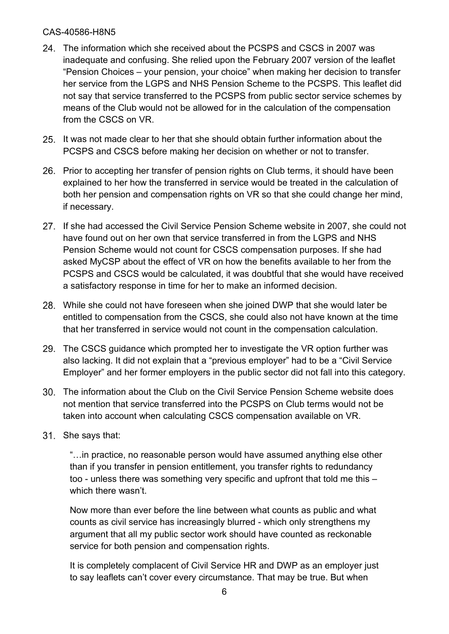- The information which she received about the PCSPS and CSCS in 2007 was inadequate and confusing. She relied upon the February 2007 version of the leaflet "Pension Choices – your pension, your choice" when making her decision to transfer her service from the LGPS and NHS Pension Scheme to the PCSPS. This leaflet did not say that service transferred to the PCSPS from public sector service schemes by means of the Club would not be allowed for in the calculation of the compensation from the CSCS on VR.
- 25. It was not made clear to her that she should obtain further information about the PCSPS and CSCS before making her decision on whether or not to transfer.
- 26. Prior to accepting her transfer of pension rights on Club terms, it should have been explained to her how the transferred in service would be treated in the calculation of both her pension and compensation rights on VR so that she could change her mind, if necessary.
- 27. If she had accessed the Civil Service Pension Scheme website in 2007, she could not have found out on her own that service transferred in from the LGPS and NHS Pension Scheme would not count for CSCS compensation purposes. If she had asked MyCSP about the effect of VR on how the benefits available to her from the PCSPS and CSCS would be calculated, it was doubtful that she would have received a satisfactory response in time for her to make an informed decision.
- While she could not have foreseen when she joined DWP that she would later be entitled to compensation from the CSCS, she could also not have known at the time that her transferred in service would not count in the compensation calculation.
- 29. The CSCS guidance which prompted her to investigate the VR option further was also lacking. It did not explain that a "previous employer" had to be a "Civil Service Employer" and her former employers in the public sector did not fall into this category.
- The information about the Club on the Civil Service Pension Scheme website does not mention that service transferred into the PCSPS on Club terms would not be taken into account when calculating CSCS compensation available on VR.
- 31. She says that:

"…in practice, no reasonable person would have assumed anything else other than if you transfer in pension entitlement, you transfer rights to redundancy too - unless there was something very specific and upfront that told me this – which there wasn't.

Now more than ever before the line between what counts as public and what counts as civil service has increasingly blurred - which only strengthens my argument that all my public sector work should have counted as reckonable service for both pension and compensation rights.

It is completely complacent of Civil Service HR and DWP as an employer just to say leaflets can't cover every circumstance. That may be true. But when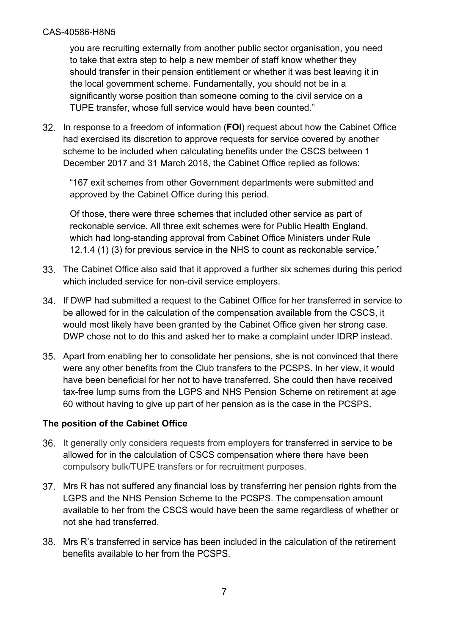you are recruiting externally from another public sector organisation, you need to take that extra step to help a new member of staff know whether they should transfer in their pension entitlement or whether it was best leaving it in the local government scheme. Fundamentally, you should not be in a significantly worse position than someone coming to the civil service on a TUPE transfer, whose full service would have been counted."

In response to a freedom of information (**FOI**) request about how the Cabinet Office had exercised its discretion to approve requests for service covered by another scheme to be included when calculating benefits under the CSCS between 1 December 2017 and 31 March 2018, the Cabinet Office replied as follows:

"167 exit schemes from other Government departments were submitted and approved by the Cabinet Office during this period.

Of those, there were three schemes that included other service as part of reckonable service. All three exit schemes were for Public Health England, which had long-standing approval from Cabinet Office Ministers under Rule 12.1.4 (1) (3) for previous service in the NHS to count as reckonable service."

- The Cabinet Office also said that it approved a further six schemes during this period which included service for non-civil service employers.
- If DWP had submitted a request to the Cabinet Office for her transferred in service to be allowed for in the calculation of the compensation available from the CSCS, it would most likely have been granted by the Cabinet Office given her strong case. DWP chose not to do this and asked her to make a complaint under IDRP instead.
- Apart from enabling her to consolidate her pensions, she is not convinced that there were any other benefits from the Club transfers to the PCSPS. In her view, it would have been beneficial for her not to have transferred. She could then have received tax-free lump sums from the LGPS and NHS Pension Scheme on retirement at age 60 without having to give up part of her pension as is the case in the PCSPS.

#### **The position of the Cabinet Office**

- 36. It generally only considers requests from employers for transferred in service to be allowed for in the calculation of CSCS compensation where there have been compulsory bulk/TUPE transfers or for recruitment purposes.
- Mrs R has not suffered any financial loss by transferring her pension rights from the LGPS and the NHS Pension Scheme to the PCSPS. The compensation amount available to her from the CSCS would have been the same regardless of whether or not she had transferred.
- 38. Mrs R's transferred in service has been included in the calculation of the retirement benefits available to her from the PCSPS.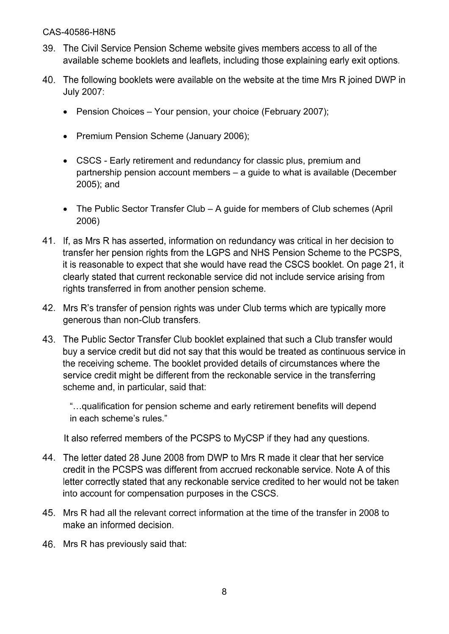- 39. The Civil Service Pension Scheme website gives members access to all of the available scheme booklets and leaflets, including those explaining early exit options.
- 40. The following booklets were available on the website at the time Mrs R joined DWP in **July 2007:** 
	- Pension Choices Your pension, your choice (February 2007);
	- Premium Pension Scheme (January 2006);
	- CSCS Early retirement and redundancy for classic plus, premium and partnership pension account members – a guide to what is available (December 2005); and
	- The Public Sector Transfer Club A guide for members of Club schemes (April 2006)
- 41. If, as Mrs R has asserted, information on redundancy was critical in her decision to transfer her pension rights from the LGPS and NHS Pension Scheme to the PCSPS, it is reasonable to expect that she would have read the CSCS booklet. On page 21, it clearly stated that current reckonable service did not include service arising from rights transferred in from another pension scheme.
- 42. Mrs R's transfer of pension rights was under Club terms which are typically more generous than non-Club transfers.
- 43. The Public Sector Transfer Club booklet explained that such a Club transfer would buy a service credit but did not say that this would be treated as continuous service in the receiving scheme. The booklet provided details of circumstances where the service credit might be different from the reckonable service in the transferring scheme and, in particular, said that:

"…qualification for pension scheme and early retirement benefits will depend in each scheme's rules."

It also referred members of the PCSPS to MyCSP if they had any questions.

- 44. The letter dated 28 June 2008 from DWP to Mrs R made it clear that her service credit in the PCSPS was different from accrued reckonable service. Note A of this letter correctly stated that any reckonable service credited to her would not be taken into account for compensation purposes in the CSCS.
- 45. Mrs R had all the relevant correct information at the time of the transfer in 2008 to make an informed decision.
- 46. Mrs R has previously said that: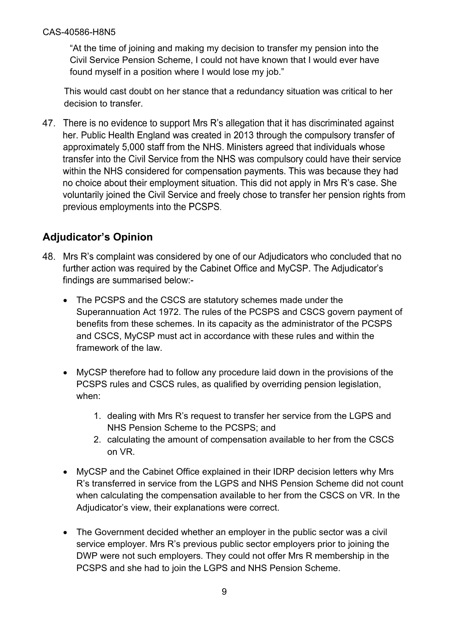"At the time of joining and making my decision to transfer my pension into the Civil Service Pension Scheme, I could not have known that I would ever have found myself in a position where I would lose my job."

This would cast doubt on her stance that a redundancy situation was critical to her decision to transfer.

47. There is no evidence to support Mrs R's allegation that it has discriminated against her. Public Health England was created in 2013 through the compulsory transfer of approximately 5,000 staff from the NHS. Ministers agreed that individuals whose transfer into the Civil Service from the NHS was compulsory could have their service within the NHS considered for compensation payments. This was because they had no choice about their employment situation. This did not apply in Mrs R's case. She voluntarily joined the Civil Service and freely chose to transfer her pension rights from previous employments into the PCSPS.

# **Adjudicator's Opinion**

- 48. Mrs R's complaint was considered by one of our Adjudicators who concluded that no further action was required by the Cabinet Office and MyCSP. The Adjudicator's findings are summarised below:-
	- The PCSPS and the CSCS are statutory schemes made under the Superannuation Act 1972. The rules of the PCSPS and CSCS govern payment of benefits from these schemes. In its capacity as the administrator of the PCSPS and CSCS, MyCSP must act in accordance with these rules and within the framework of the law.
	- MyCSP therefore had to follow any procedure laid down in the provisions of the PCSPS rules and CSCS rules, as qualified by overriding pension legislation, when:
		- 1. dealing with Mrs R's request to transfer her service from the LGPS and NHS Pension Scheme to the PCSPS; and
		- 2. calculating the amount of compensation available to her from the CSCS on VR.
	- MyCSP and the Cabinet Office explained in their IDRP decision letters why Mrs R's transferred in service from the LGPS and NHS Pension Scheme did not count when calculating the compensation available to her from the CSCS on VR. In the Adjudicator's view, their explanations were correct.
	- The Government decided whether an employer in the public sector was a civil service employer. Mrs R's previous public sector employers prior to joining the DWP were not such employers. They could not offer Mrs R membership in the PCSPS and she had to join the LGPS and NHS Pension Scheme.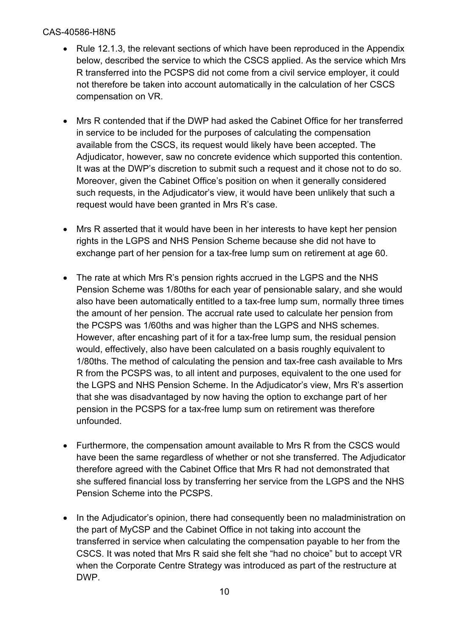- Rule 12.1.3, the relevant sections of which have been reproduced in the Appendix below, described the service to which the CSCS applied. As the service which Mrs R transferred into the PCSPS did not come from a civil service employer, it could not therefore be taken into account automatically in the calculation of her CSCS compensation on VR.
- Mrs R contended that if the DWP had asked the Cabinet Office for her transferred in service to be included for the purposes of calculating the compensation available from the CSCS, its request would likely have been accepted. The Adjudicator, however, saw no concrete evidence which supported this contention. It was at the DWP's discretion to submit such a request and it chose not to do so. Moreover, given the Cabinet Office's position on when it generally considered such requests, in the Adjudicator's view, it would have been unlikely that such a request would have been granted in Mrs R's case.
- Mrs R asserted that it would have been in her interests to have kept her pension rights in the LGPS and NHS Pension Scheme because she did not have to exchange part of her pension for a tax-free lump sum on retirement at age 60.
- The rate at which Mrs R's pension rights accrued in the LGPS and the NHS Pension Scheme was 1/80ths for each year of pensionable salary, and she would also have been automatically entitled to a tax-free lump sum, normally three times the amount of her pension. The accrual rate used to calculate her pension from the PCSPS was 1/60ths and was higher than the LGPS and NHS schemes. However, after encashing part of it for a tax-free lump sum, the residual pension would, effectively, also have been calculated on a basis roughly equivalent to 1/80ths. The method of calculating the pension and tax-free cash available to Mrs R from the PCSPS was, to all intent and purposes, equivalent to the one used for the LGPS and NHS Pension Scheme. In the Adjudicator's view, Mrs R's assertion that she was disadvantaged by now having the option to exchange part of her pension in the PCSPS for a tax-free lump sum on retirement was therefore unfounded.
- Furthermore, the compensation amount available to Mrs R from the CSCS would have been the same regardless of whether or not she transferred. The Adjudicator therefore agreed with the Cabinet Office that Mrs R had not demonstrated that she suffered financial loss by transferring her service from the LGPS and the NHS Pension Scheme into the PCSPS.
- In the Adjudicator's opinion, there had consequently been no maladministration on the part of MyCSP and the Cabinet Office in not taking into account the transferred in service when calculating the compensation payable to her from the CSCS. It was noted that Mrs R said she felt she "had no choice" but to accept VR when the Corporate Centre Strategy was introduced as part of the restructure at DWP.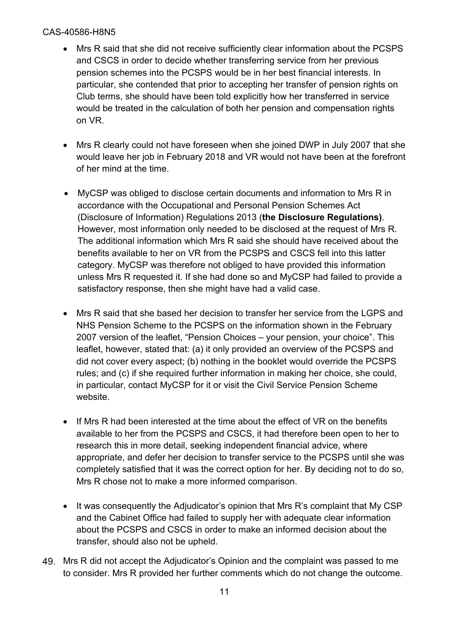- Mrs R said that she did not receive sufficiently clear information about the PCSPS and CSCS in order to decide whether transferring service from her previous pension schemes into the PCSPS would be in her best financial interests. In particular, she contended that prior to accepting her transfer of pension rights on Club terms, she should have been told explicitly how her transferred in service would be treated in the calculation of both her pension and compensation rights on VR.
- Mrs R clearly could not have foreseen when she joined DWP in July 2007 that she would leave her job in February 2018 and VR would not have been at the forefront of her mind at the time.
- MyCSP was obliged to disclose certain documents and information to Mrs R in accordance with the Occupational and Personal Pension Schemes Act (Disclosure of Information) Regulations 2013 (**the Disclosure Regulations)**. However, most information only needed to be disclosed at the request of Mrs R. The additional information which Mrs R said she should have received about the benefits available to her on VR from the PCSPS and CSCS fell into this latter category. MyCSP was therefore not obliged to have provided this information unless Mrs R requested it. If she had done so and MyCSP had failed to provide a satisfactory response, then she might have had a valid case.
- Mrs R said that she based her decision to transfer her service from the LGPS and NHS Pension Scheme to the PCSPS on the information shown in the February 2007 version of the leaflet, "Pension Choices – your pension, your choice". This leaflet, however, stated that: (a) it only provided an overview of the PCSPS and did not cover every aspect; (b) nothing in the booklet would override the PCSPS rules; and (c) if she required further information in making her choice, she could, in particular, contact MyCSP for it or visit the Civil Service Pension Scheme website.
- If Mrs R had been interested at the time about the effect of VR on the benefits available to her from the PCSPS and CSCS, it had therefore been open to her to research this in more detail, seeking independent financial advice, where appropriate, and defer her decision to transfer service to the PCSPS until she was completely satisfied that it was the correct option for her. By deciding not to do so, Mrs R chose not to make a more informed comparison.
- It was consequently the Adjudicator's opinion that Mrs R's complaint that My CSP and the Cabinet Office had failed to supply her with adequate clear information about the PCSPS and CSCS in order to make an informed decision about the transfer, should also not be upheld.
- Mrs R did not accept the Adjudicator's Opinion and the complaint was passed to me to consider. Mrs R provided her further comments which do not change the outcome.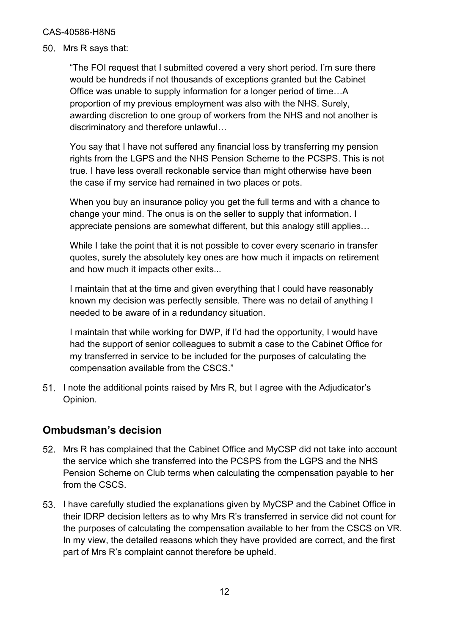50. Mrs R says that:

"The FOI request that I submitted covered a very short period. I'm sure there would be hundreds if not thousands of exceptions granted but the Cabinet Office was unable to supply information for a longer period of time…A proportion of my previous employment was also with the NHS. Surely, awarding discretion to one group of workers from the NHS and not another is discriminatory and therefore unlawful…

You say that I have not suffered any financial loss by transferring my pension rights from the LGPS and the NHS Pension Scheme to the PCSPS. This is not true. I have less overall reckonable service than might otherwise have been the case if my service had remained in two places or pots.

When you buy an insurance policy you get the full terms and with a chance to change your mind. The onus is on the seller to supply that information. I appreciate pensions are somewhat different, but this analogy still applies…

While I take the point that it is not possible to cover every scenario in transfer quotes, surely the absolutely key ones are how much it impacts on retirement and how much it impacts other exits...

I maintain that at the time and given everything that I could have reasonably known my decision was perfectly sensible. There was no detail of anything I needed to be aware of in a redundancy situation.

I maintain that while working for DWP, if I'd had the opportunity, I would have had the support of senior colleagues to submit a case to the Cabinet Office for my transferred in service to be included for the purposes of calculating the compensation available from the CSCS."

51. I note the additional points raised by Mrs R, but I agree with the Adjudicator's Opinion.

## **Ombudsman's decision**

- Mrs R has complained that the Cabinet Office and MyCSP did not take into account the service which she transferred into the PCSPS from the LGPS and the NHS Pension Scheme on Club terms when calculating the compensation payable to her from the CSCS.
- 53. I have carefully studied the explanations given by MyCSP and the Cabinet Office in their IDRP decision letters as to why Mrs R's transferred in service did not count for the purposes of calculating the compensation available to her from the CSCS on VR. In my view, the detailed reasons which they have provided are correct, and the first part of Mrs R's complaint cannot therefore be upheld.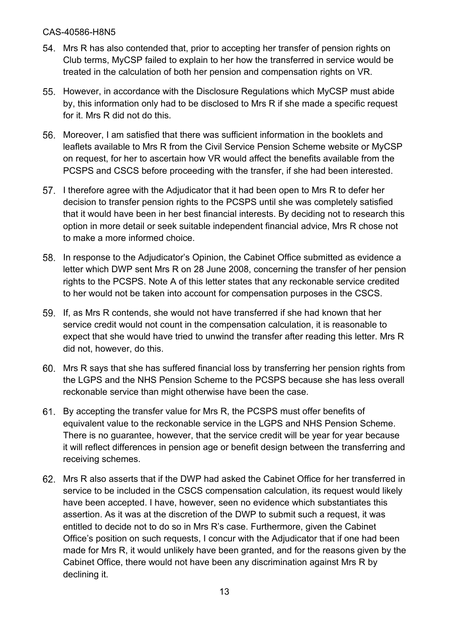- Mrs R has also contended that, prior to accepting her transfer of pension rights on Club terms, MyCSP failed to explain to her how the transferred in service would be treated in the calculation of both her pension and compensation rights on VR.
- 55. However, in accordance with the Disclosure Regulations which MyCSP must abide by, this information only had to be disclosed to Mrs R if she made a specific request for it. Mrs R did not do this.
- Moreover, I am satisfied that there was sufficient information in the booklets and leaflets available to Mrs R from the Civil Service Pension Scheme website or MyCSP on request, for her to ascertain how VR would affect the benefits available from the PCSPS and CSCS before proceeding with the transfer, if she had been interested.
- 57. I therefore agree with the Adjudicator that it had been open to Mrs R to defer her decision to transfer pension rights to the PCSPS until she was completely satisfied that it would have been in her best financial interests. By deciding not to research this option in more detail or seek suitable independent financial advice, Mrs R chose not to make a more informed choice.
- 58. In response to the Adjudicator's Opinion, the Cabinet Office submitted as evidence a letter which DWP sent Mrs R on 28 June 2008, concerning the transfer of her pension rights to the PCSPS. Note A of this letter states that any reckonable service credited to her would not be taken into account for compensation purposes in the CSCS.
- If, as Mrs R contends, she would not have transferred if she had known that her service credit would not count in the compensation calculation, it is reasonable to expect that she would have tried to unwind the transfer after reading this letter. Mrs R did not, however, do this.
- Mrs R says that she has suffered financial loss by transferring her pension rights from the LGPS and the NHS Pension Scheme to the PCSPS because she has less overall reckonable service than might otherwise have been the case.
- By accepting the transfer value for Mrs R, the PCSPS must offer benefits of equivalent value to the reckonable service in the LGPS and NHS Pension Scheme. There is no guarantee, however, that the service credit will be year for year because it will reflect differences in pension age or benefit design between the transferring and receiving schemes.
- Mrs R also asserts that if the DWP had asked the Cabinet Office for her transferred in service to be included in the CSCS compensation calculation, its request would likely have been accepted. I have, however, seen no evidence which substantiates this assertion. As it was at the discretion of the DWP to submit such a request, it was entitled to decide not to do so in Mrs R's case. Furthermore, given the Cabinet Office's position on such requests, I concur with the Adjudicator that if one had been made for Mrs R, it would unlikely have been granted, and for the reasons given by the Cabinet Office, there would not have been any discrimination against Mrs R by declining it.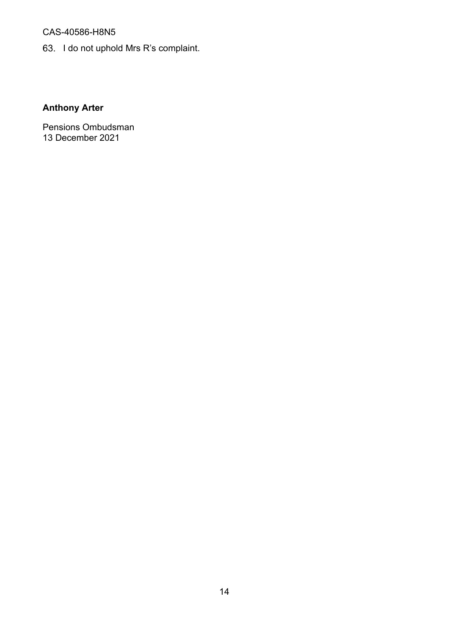63. I do not uphold Mrs R's complaint.

## **Anthony Arter**

Pensions Ombudsman 13 December 2021